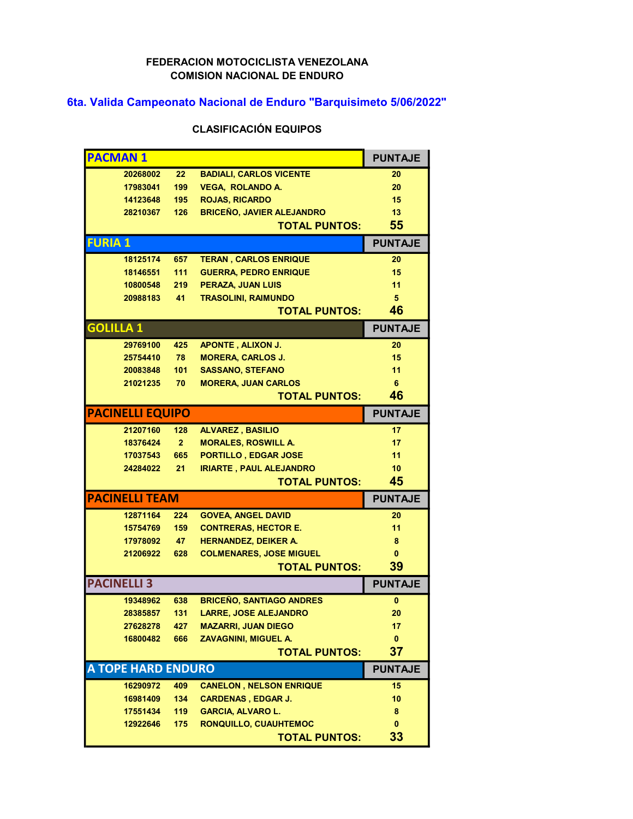## FEDERACION MOTOCICLISTA VENEZOLANA COMISION NACIONAL DE ENDURO

## 6ta. Valida Campeonato Nacional de Enduro "Barquisimeto 5/06/2022"

## CLASIFICACIÓN EQUIPOS

|                | <b>PACMAN1</b>            |                   |                                                      | <b>PUNTAJE</b>  |
|----------------|---------------------------|-------------------|------------------------------------------------------|-----------------|
|                | 20268002                  | $22 \overline{ }$ | <b>BADIALI, CARLOS VICENTE</b>                       | 20              |
|                | 17983041                  | 199               | <b>VEGA, ROLANDO A.</b>                              | 20              |
|                | 14123648                  | 195               | <b>ROJAS, RICARDO</b>                                | 15              |
|                | 28210367                  | 126               | <b>BRICEÑO, JAVIER ALEJANDRO</b>                     | 13              |
|                |                           |                   | <b>TOTAL PUNTOS:</b>                                 | 55              |
| <b>FURIA 1</b> |                           |                   |                                                      | <b>PUNTAJE</b>  |
|                | 18125174                  | 657               | <b>TERAN, CARLOS ENRIQUE</b>                         | 20              |
|                | 18146551                  | $111$             | <b>GUERRA, PEDRO ENRIQUE</b>                         | 15              |
|                | 10800548                  | 219               | PERAZA, JUAN LUIS                                    | 11              |
|                | 20988183                  | 41                | <b>TRASOLINI, RAIMUNDO</b>                           | 5               |
|                |                           |                   | <b>TOTAL PUNTOS:</b>                                 | 46              |
|                | <b>GOLILLA 1</b>          |                   |                                                      | <b>PUNTAJE</b>  |
|                | 29769100                  | 425               | <b>APONTE, ALIXON J.</b>                             | 20              |
|                | 25754410                  | 78                | <b>MORERA, CARLOS J.</b>                             | 15              |
|                | 20083848                  | 101               | <b>SASSANO, STEFANO</b>                              | 11              |
|                | 21021235                  | 70                | <b>MORERA, JUAN CARLOS</b>                           | 6               |
|                |                           |                   | <b>TOTAL PUNTOS:</b>                                 | 46              |
|                | <b>PACINELLI EQUIPO</b>   |                   |                                                      | <b>PUNTAJE</b>  |
|                | 21207160                  | 128               | <b>ALVAREZ, BASILIO</b>                              | 17              |
|                | 18376424                  | $\overline{2}$    | <b>MORALES, ROSWILL A.</b>                           | 17              |
|                | 17037543                  | 665               | PORTILLO, EDGAR JOSE                                 | 11              |
|                | 24284022                  | 21                | <b>IRIARTE, PAUL ALEJANDRO</b>                       | 10 <sup>1</sup> |
|                |                           |                   | <b>TOTAL PUNTOS:</b>                                 | 45              |
|                | <b>PACINELLI TEAM</b>     |                   |                                                      | <b>PUNTAJE</b>  |
|                | 12871164                  | 224               | <b>GOVEA, ANGEL DAVID</b>                            | 20              |
|                | 15754769                  | 159               | <b>CONTRERAS, HECTOR E.</b>                          | 11              |
|                | 17978092                  | 47                | <b>HERNANDEZ, DEIKER A.</b>                          | 8               |
|                | 21206922                  | 628               | <b>COLMENARES, JOSE MIGUEL</b>                       | $\mathbf{0}$    |
|                |                           |                   | <b>TOTAL PUNTOS:</b>                                 | 39              |
|                | <b>PACINELLI 3</b>        |                   |                                                      | <b>PUNTAJE</b>  |
|                | 19348962                  | 638               | <b>BRICEÑO, SANTIAGO ANDRES</b>                      | 0               |
|                | 28385857                  | $131 -$           | <b>LARRE, JOSE ALEJANDRO</b>                         | 20              |
|                | 27628278                  | 427               | <b>MAZARRI, JUAN DIEGO</b>                           | 17              |
|                | 16800482                  | 666               | <b>ZAVAGNINI, MIGUEL A.</b>                          | 0               |
|                |                           |                   | <b>TOTAL PUNTOS:</b>                                 | 37              |
|                |                           |                   |                                                      | <b>PUNTAJE</b>  |
|                | <b>A TOPE HARD ENDURO</b> |                   |                                                      |                 |
|                | 16290972                  | 409               | <b>CANELON, NELSON ENRIQUE</b>                       | 15              |
|                | 16981409                  | 134               | <b>CARDENAS, EDGAR J.</b>                            | 10              |
|                | 17551434                  | 119               | <b>GARCIA, ALVARO L.</b>                             | 8               |
|                | 12922646                  | 175               | <b>RONQUILLO, CUAUHTEMOC</b><br><b>TOTAL PUNTOS:</b> | 0<br>33         |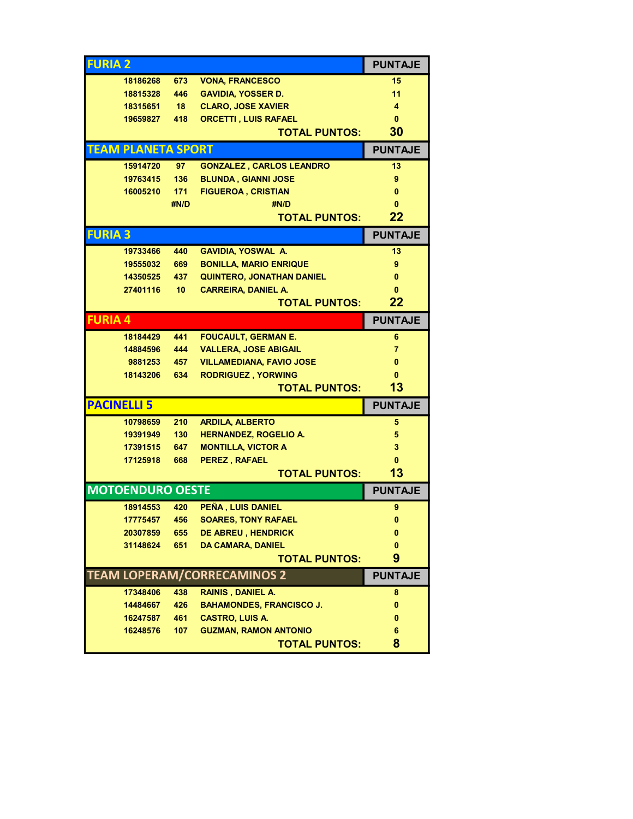| <b>FURIA 2</b> |                           |                  |                                    | <b>PUNTAJE</b> |
|----------------|---------------------------|------------------|------------------------------------|----------------|
|                | 18186268                  | 673              | <b>VONA, FRANCESCO</b>             | 15             |
|                | 18815328                  | 446              | <b>GAVIDIA, YOSSER D.</b>          | 11             |
|                | 18315651                  | 18 <sup>1</sup>  | <b>CLARO, JOSE XAVIER</b>          | 4              |
|                | 19659827                  | 418              | <b>ORCETTI, LUIS RAFAEL</b>        | $\mathbf{0}$   |
|                |                           |                  | <b>TOTAL PUNTOS:</b>               | 30             |
|                | <b>TEAM PLANETA SPORT</b> |                  |                                    | <b>PUNTAJE</b> |
|                | 15914720                  | 97               | <b>GONZALEZ, CARLOS LEANDRO</b>    | 13             |
|                | 19763415                  | 136              | <b>BLUNDA, GIANNI JOSE</b>         | 9              |
|                | 16005210                  | 171              | <b>FIGUEROA, CRISTIAN</b>          | $\bf{0}$       |
|                |                           | #N/D             | #N/D                               | 0              |
|                |                           |                  | <b>TOTAL PUNTOS:</b>               | 22             |
| <b>FURIA 3</b> |                           |                  |                                    | <b>PUNTAJE</b> |
|                | 19733466                  | 440              | <b>GAVIDIA, YOSWAL A.</b>          | 13             |
|                | 19555032                  | 669              | <b>BONILLA, MARIO ENRIQUE</b>      | 9              |
|                | 14350525                  | 437              | <b>QUINTERO, JONATHAN DANIEL</b>   | $\mathbf{0}$   |
|                | 27401116                  | 10 <sup>°</sup>  | <b>CARREIRA, DANIEL A.</b>         | $\mathbf{0}$   |
|                |                           |                  | <b>TOTAL PUNTOS:</b>               | 22             |
| <b>FURIA 4</b> |                           |                  |                                    | <b>PUNTAJE</b> |
|                | 18184429                  | 441              | <b>FOUCAULT, GERMAN E.</b>         | 6              |
|                | 14884596                  | 444              | <b>VALLERA, JOSE ABIGAIL</b>       | 7              |
|                | 9881253 457               |                  | <b>VILLAMEDIANA, FAVIO JOSE</b>    | 0              |
|                | 18143206                  | 634              | <b>RODRIGUEZ, YORWING</b>          | 0              |
|                |                           |                  | <b>TOTAL PUNTOS:</b>               | 13             |
|                | <b>PACINELLI 5</b>        |                  |                                    | <b>PUNTAJE</b> |
|                | 10798659                  | 210              | <b>ARDILA, ALBERTO</b>             | 5              |
|                | 19391949                  | 130 <sub>1</sub> | <b>HERNANDEZ, ROGELIO A.</b>       | 5              |
|                | 17391515                  | 647              | <b>MONTILLA, VICTOR A</b>          | 3              |
|                | 17125918                  | 668              | PEREZ, RAFAEL                      | $\mathbf{0}$   |
|                |                           |                  | <b>TOTAL PUNTOS:</b>               | 13             |
|                | <b>MOTOENDURO OESTE</b>   |                  |                                    | <b>PUNTAJE</b> |
|                | 18914553                  | 420              | PEÑA, LUIS DANIEL                  | 9              |
|                | 17775457                  | 456              | <b>SOARES, TONY RAFAEL</b>         | 0              |
|                | 20307859                  | 655              | <b>DE ABREU, HENDRICK</b>          | 0              |
|                | 31148624                  | 651              | <b>DA CAMARA, DANIEL</b>           | 0              |
|                |                           |                  | <b>TOTAL PUNTOS:</b>               | 9              |
|                |                           |                  | <b>TEAM LOPERAM/CORRECAMINOS 2</b> | <b>PUNTAJE</b> |
|                | 17348406                  | 438              | <b>RAINIS, DANIEL A.</b>           | 8              |
|                | 14484667                  | 426              | <b>BAHAMONDES, FRANCISCO J.</b>    | 0              |
|                | 16247587                  | 461              | <b>CASTRO, LUIS A.</b>             | 0              |
|                | 16248576                  | 107              | <b>GUZMAN, RAMON ANTONIO</b>       | 6              |
|                |                           |                  | <b>TOTAL PUNTOS:</b>               | 8              |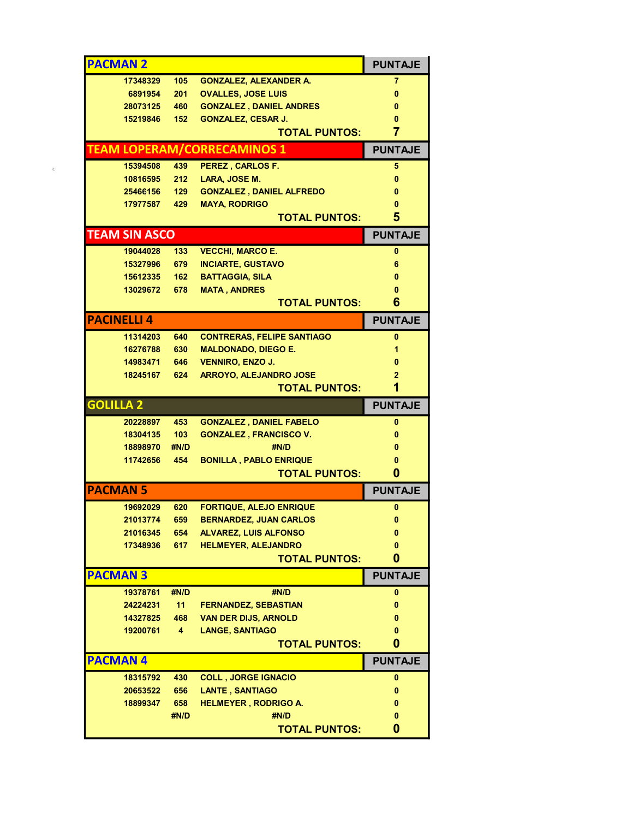|                    | <b>PACMAN 2</b>      |                  |                                     | <b>PUNTAJE</b>                 |
|--------------------|----------------------|------------------|-------------------------------------|--------------------------------|
|                    | 17348329             | 105              | <b>GONZALEZ, ALEXANDER A.</b>       | 7                              |
|                    | 6891954              | 201              | <b>OVALLES, JOSE LUIS</b>           | $\bf{0}$                       |
|                    | 28073125             | 460              | <b>GONZALEZ, DANIEL ANDRES</b>      | $\bf{0}$                       |
|                    | 15219846             | $152 -$          | <b>GONZALEZ, CESAR J.</b>           | 0                              |
|                    |                      |                  | <b>TOTAL PUNTOS:</b>                | $\overline{7}$                 |
|                    |                      |                  | <b>TEAM LOPERAM/CORRECAMINOS 1</b>  | <b>PUNTAJE</b>                 |
|                    | 15394508             | 439              | <b>PEREZ, CARLOS F.</b>             | 5                              |
|                    | 10816595             | 212              | LARA, JOSE M.                       | $\mathbf{0}$                   |
|                    | 25466156             | 129              | <b>GONZALEZ, DANIEL ALFREDO</b>     | $\mathbf{0}$                   |
|                    | 17977587             | 429              | <b>MAYA, RODRIGO</b>                | 0                              |
|                    |                      |                  | <b>TOTAL PUNTOS:</b>                | 5                              |
|                    | <b>TEAM SIN ASCO</b> |                  |                                     | <b>PUNTAJE</b>                 |
|                    | 19044028             | 133              | <b>VECCHI, MARCO E.</b>             | $\mathbf{0}$                   |
|                    | 15327996             | 679              | <b>INCIARTE, GUSTAVO</b>            | 6                              |
|                    | 15612335             | 162              | <b>BATTAGGIA, SILA</b>              | 0                              |
|                    | 13029672             | 678              | <b>MATA, ANDRES</b>                 |                                |
|                    |                      |                  | <b>TOTAL PUNTOS:</b>                | 6                              |
| <b>PACINELLI 4</b> |                      |                  |                                     | <b>PUNTAJE</b>                 |
|                    | 11314203             | 640              | <b>CONTRERAS, FELIPE SANTIAGO</b>   | $\mathbf{0}$                   |
|                    | 16276788             | 630              | <b>MALDONADO, DIEGO E.</b>          | 1                              |
|                    | 14983471             | 646              | <b>VENNIRO, ENZO J.</b>             | $\bf{0}$                       |
|                    | 18245167             | 624              | <b>ARROYO, ALEJANDRO JOSE</b>       | $\overline{2}$                 |
|                    |                      |                  | <b>TOTAL PUNTOS:</b>                | 1                              |
| <b>GOLILLA 2</b>   |                      |                  |                                     | <b>PUNTAJE</b>                 |
|                    |                      |                  |                                     |                                |
|                    | 20228897             | 453              | <b>GONZALEZ, DANIEL FABELO</b>      | $\mathbf 0$                    |
|                    | 18304135             | 103 <sub>1</sub> | <b>GONZALEZ, FRANCISCO V.</b>       | 0                              |
|                    | 18898970             | #N/D             | #N/D                                | 0                              |
|                    | 11742656             | 454              | <b>BONILLA, PABLO ENRIQUE</b>       | 0                              |
|                    |                      |                  | <b>TOTAL PUNTOS:</b>                | $\mathbf{0}$                   |
|                    |                      |                  |                                     | <b>PUNTAJE</b>                 |
| <b>PACMAN 5</b>    | 19692029             | 620              | <b>FORTIQUE, ALEJO ENRIQUE</b>      | $\mathbf{0}$                   |
|                    |                      |                  | 21013774 659 BERNARDEZ, JUAN CARLOS | $\mathbf{0}$                   |
|                    | 21016345             | 654              | <b>ALVAREZ, LUIS ALFONSO</b>        | 0                              |
|                    | 17348936             | 617              | <b>HELMEYER, ALEJANDRO</b>          | $\bf{0}$                       |
|                    |                      |                  | <b>TOTAL PUNTOS:</b>                | 0                              |
| <b>PACMAN 3</b>    | 19378761             | #N/D             | #N/D                                | <b>PUNTAJE</b><br>$\mathbf{0}$ |
|                    | 24224231             | 11               | <b>FERNANDEZ, SEBASTIAN</b>         | 0                              |
|                    | 14327825             | 468              | <b>VAN DER DIJS, ARNOLD</b>         | 0                              |
|                    | 19200761             | 4 <sup>1</sup>   | <b>LANGE, SANTIAGO</b>              | 0                              |
|                    |                      |                  | <b>TOTAL PUNTOS:</b>                | 0                              |
| <b>PACMAN4</b>     |                      |                  |                                     | <b>PUNTAJE</b>                 |
|                    | 18315792             | 430              | <b>COLL, JORGE IGNACIO</b>          | 0                              |
|                    | 20653522             | 656              | <b>LANTE, SANTIAGO</b>              | 0                              |
|                    | 18899347             | 658              | <b>HELMEYER, RODRIGO A.</b>         | 0                              |
|                    |                      | #N/D             | #N/D                                | 0                              |
|                    |                      |                  | <b>TOTAL PUNTOS:</b>                | 0                              |